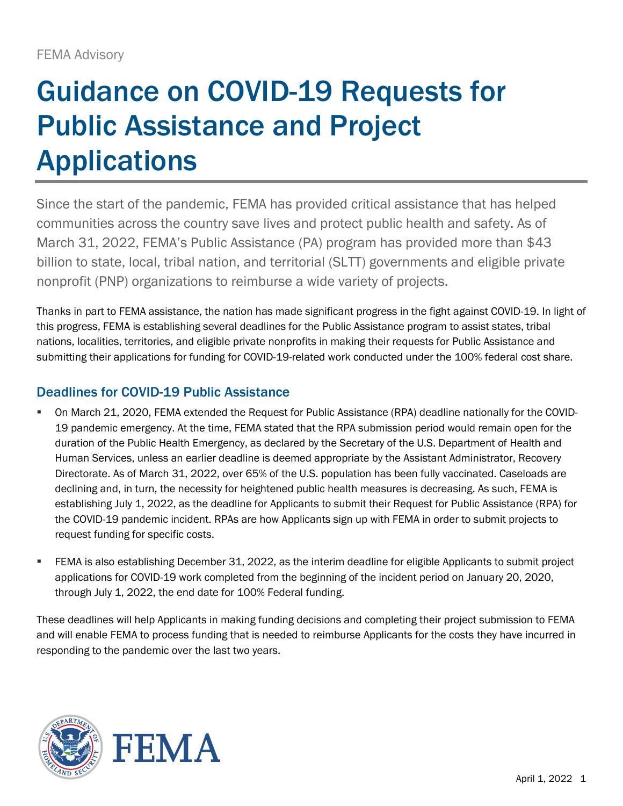# Guidance on COVID-19 Requests for Public Assistance and Project **Applications**

Since the start of the pandemic, FEMA has provided critical assistance that has helped communities across the country save lives and protect public health and safety. As of March 31, 2022, FEMA's Public Assistance (PA) program has provided more than \$43 billion to state, local, tribal nation, and territorial (SLTT) governments and eligible private nonprofit (PNP) organizations to reimburse a wide variety of projects.

Thanks in part to FEMA assistance, the nation has made significant progress in the fight against COVID-19. In light of this progress, FEMA is establishing several deadlines for the Public Assistance program to assist states, tribal nations, localities, territories, and eligible private nonprofits in making their requests for Public Assistance and submitting their applications for funding for COVID-19-related work conducted under the 100% federal cost share.

#### Deadlines for COVID-19 Public Assistance

- On March 21, 2020, FEMA extended the Request for Public Assistance (RPA) deadline nationally for the COVID-19 pandemic emergency. At the time, FEMA stated that the RPA submission period would remain open for the duration of the Public Health Emergency, as declared by the Secretary of the U.S. Department of Health and Human Services, unless an earlier deadline is deemed appropriate by the Assistant Administrator, Recovery Directorate. As of March 31, 2022, over 65% of the U.S. population has been fully vaccinated. Caseloads are declining and, in turn, the necessity for heightened public health measures is decreasing. As such, FEMA is establishing July 1, 2022, as the deadline for Applicants to submit their Request for Public Assistance (RPA) for the COVID-19 pandemic incident. RPAs are how Applicants sign up with FEMA in order to submit projects to request funding for specific costs.
- FEMA is also establishing December 31, 2022, as the interim deadline for eligible Applicants to submit project applications for COVID-19 work completed from the beginning of the incident period on January 20, 2020, through July 1, 2022, the end date for 100% Federal funding.

These deadlines will help Applicants in making funding decisions and completing their project submission to FEMA and will enable FEMA to process funding that is needed to reimburse Applicants for the costs they have incurred in responding to the pandemic over the last two years.